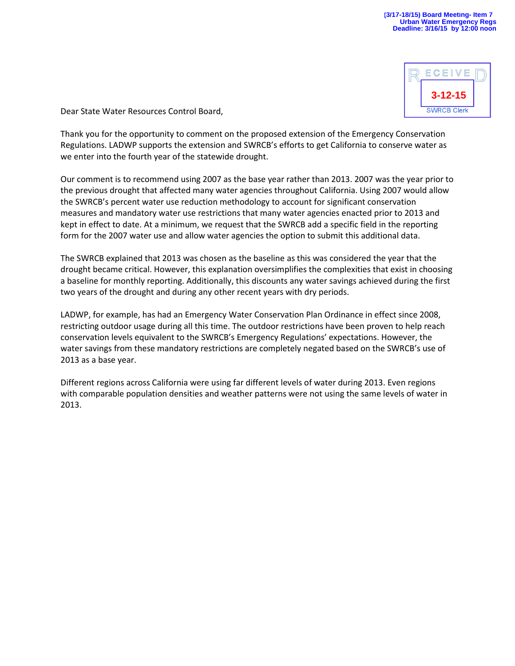

Dear State Water Resources Control Board,

Thank you for the opportunity to comment on the proposed extension of the Emergency Conservation Regulations. LADWP supports the extension and SWRCB's efforts to get California to conserve water as we enter into the fourth year of the statewide drought.

Our comment is to recommend using 2007 as the base year rather than 2013. 2007 was the year prior to the previous drought that affected many water agencies throughout California. Using 2007 would allow the SWRCB's percent water use reduction methodology to account for significant conservation measures and mandatory water use restrictions that many water agencies enacted prior to 2013 and kept in effect to date. At a minimum, we request that the SWRCB add a specific field in the reporting form for the 2007 water use and allow water agencies the option to submit this additional data.

The SWRCB explained that 2013 was chosen as the baseline as this was considered the year that the drought became critical. However, this explanation oversimplifies the complexities that exist in choosing a baseline for monthly reporting. Additionally, this discounts any water savings achieved during the first two years of the drought and during any other recent years with dry periods.

LADWP, for example, has had an Emergency Water Conservation Plan Ordinance in effect since 2008, restricting outdoor usage during all this time. The outdoor restrictions have been proven to help reach conservation levels equivalent to the SWRCB's Emergency Regulations' expectations. However, the water savings from these mandatory restrictions are completely negated based on the SWRCB's use of 2013 as a base year.

Different regions across California were using far different levels of water during 2013. Even regions with comparable population densities and weather patterns were not using the same levels of water in 2013.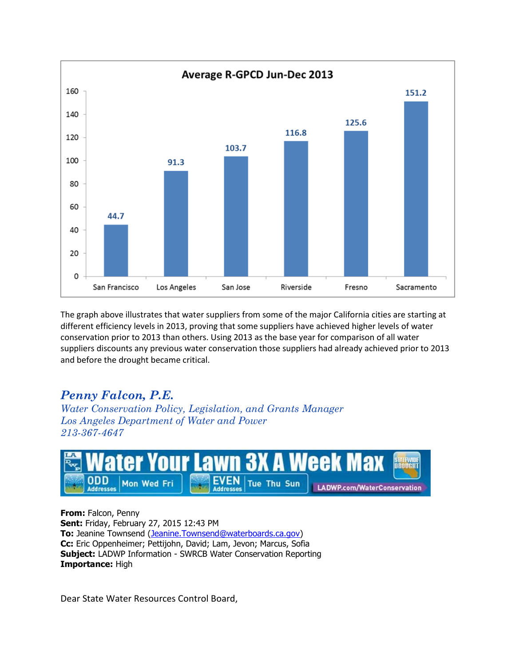

The graph above illustrates that water suppliers from some of the major California cities are starting at different efficiency levels in 2013, proving that some suppliers have achieved higher levels of water conservation prior to 2013 than others. Using 2013 as the base year for comparison of all water suppliers discounts any previous water conservation those suppliers had already achieved prior to 2013 and before the drought became critical.

## *Penny Falcon, P.E.*

*Water Conservation Policy, Legislation, and Grants Manager Los Angeles Department of Water and Power 213-367-4647*



**From:** Falcon, Penny **Sent:** Friday, February 27, 2015 12:43 PM **To:** Jeanine Townsend [\(Jeanine.Townsend@waterboards.ca.gov\)](mailto:Jeanine.Townsend@waterboards.ca.gov) **Cc:** Eric Oppenheimer; Pettijohn, David; Lam, Jevon; Marcus, Sofia **Subject:** LADWP Information - SWRCB Water Conservation Reporting **Importance:** High

Dear State Water Resources Control Board,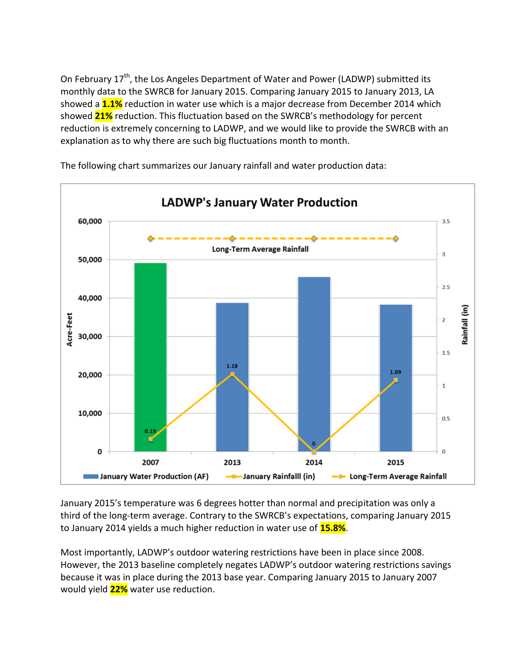On February 17<sup>th</sup>, the Los Angeles Department of Water and Power (LADWP) submitted its monthly data to the SWRCB for January 2015. Comparing January 2015 to January 2013, LA showed a **1.1%** reduction in water use which is a major decrease from December 2014 which showed **21%** reduction. This fluctuation based on the SWRCB's methodology for percent reduction is extremely concerning to LADWP, and we would like to provide the SWRCB with an explanation as to why there are such big fluctuations month to month.



The following chart summarizes our January rainfall and water production data:

January 2015's temperature was 6 degrees hotter than normal and precipitation was only a third of the long-term average. Contrary to the SWRCB's expectations, comparing January 2015 to January 2014 yields a much higher reduction in water use of **15.8%**.

Most importantly, LADWP's outdoor watering restrictions have been in place since 2008. However, the 2013 baseline completely negates LADWP's outdoor watering restrictions savings because it was in place during the 2013 base year. Comparing January 2015 to January 2007 would yield **22%** water use reduction.